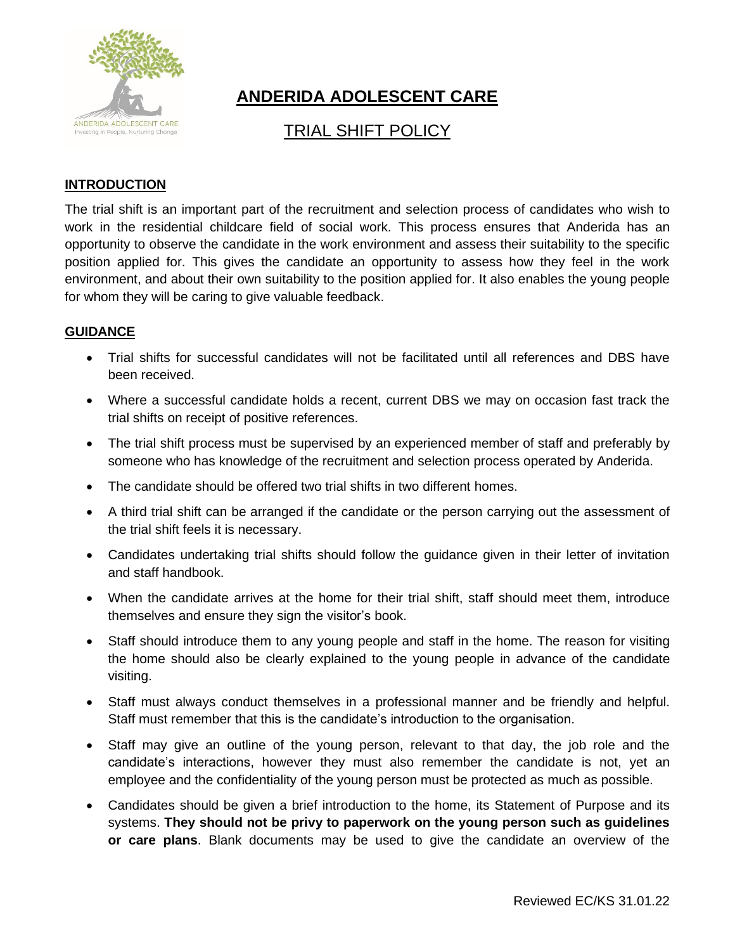

# **ANDERIDA ADOLESCENT CARE**

# TRIAL SHIFT POLICY

## **INTRODUCTION**

The trial shift is an important part of the recruitment and selection process of candidates who wish to work in the residential childcare field of social work. This process ensures that Anderida has an opportunity to observe the candidate in the work environment and assess their suitability to the specific position applied for. This gives the candidate an opportunity to assess how they feel in the work environment, and about their own suitability to the position applied for. It also enables the young people for whom they will be caring to give valuable feedback.

### **GUIDANCE**

- Trial shifts for successful candidates will not be facilitated until all references and DBS have been received.
- Where a successful candidate holds a recent, current DBS we may on occasion fast track the trial shifts on receipt of positive references.
- The trial shift process must be supervised by an experienced member of staff and preferably by someone who has knowledge of the recruitment and selection process operated by Anderida.
- The candidate should be offered two trial shifts in two different homes.
- A third trial shift can be arranged if the candidate or the person carrying out the assessment of the trial shift feels it is necessary.
- Candidates undertaking trial shifts should follow the guidance given in their letter of invitation and staff handbook.
- When the candidate arrives at the home for their trial shift, staff should meet them, introduce themselves and ensure they sign the visitor's book.
- Staff should introduce them to any young people and staff in the home. The reason for visiting the home should also be clearly explained to the young people in advance of the candidate visiting.
- Staff must always conduct themselves in a professional manner and be friendly and helpful. Staff must remember that this is the candidate's introduction to the organisation.
- Staff may give an outline of the young person, relevant to that day, the job role and the candidate's interactions, however they must also remember the candidate is not, yet an employee and the confidentiality of the young person must be protected as much as possible.
- Candidates should be given a brief introduction to the home, its Statement of Purpose and its systems. **They should not be privy to paperwork on the young person such as guidelines or care plans**. Blank documents may be used to give the candidate an overview of the